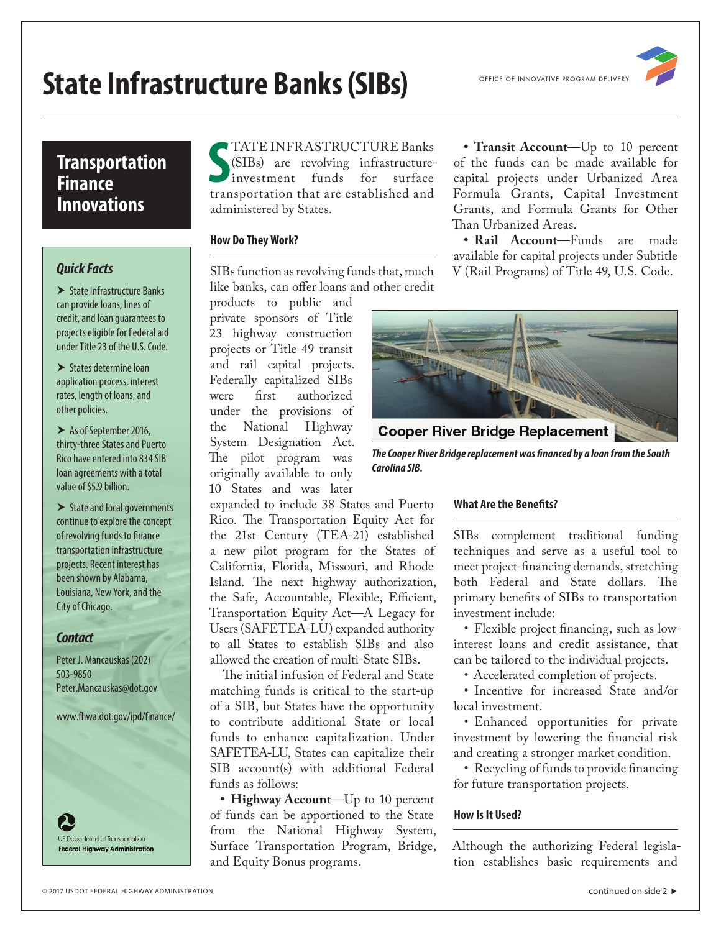# **State Infrastructure Banks (SIBs)**

## **Transportation Finance Innovations**

## *Quick Facts*

 $\blacktriangleright$  State Infrastructure Banks can provide loans, lines of credit, and loan guarantees to projects eligible for Federal aid under Title 23 of the U.S. Code.

 $\blacktriangleright$  States determine loan application process, interest rates, length of loans, and other policies.

 $\blacktriangleright$  As of September 2016, thirty-three States and Puerto Rico have entered into 834 SIB loan agreements with a total value of \$5.9 billion.

 $\blacktriangleright$  State and local governments continue to explore the concept of revolving funds to finance transportation infrastructure projects. Recent interest has been shown by Alabama, Louisiana, New York, and the City of Chicago.

## *Contact*

Peter J. Mancauskas (202) 503-9850 [Peter.Mancauskas@dot.gov](mailto:Peter.Mancauskas@dot.gov)

[www.fhwa.dot.gov/ipd](https://www.fhwa.dot.gov/ipd/finance/)/finance/

S.Department of Transportation **Federal Highway Administration** 

## TATE INFRASTRUCTURE Banks

**SPATE INFRASTRUCTURE Banks**<br>
SSIBs) are revolving infrastructure-<br>
investment funds for surface<br>
transportation that are established and (SIBs) are revolving infrastructureinvestment funds for surface administered by States.

## **How Do They Work?**

SIBs function as revolving funds that, much like banks, can offer loans and other credit

products to public and private sponsors of Title 23 highway construction projects or Title 49 transit and rail capital projects. Federally capitalized SIBs authorized under the provisions of the National Highway System Designation Act. The pilot program was originally available to only 10 States and was later

expanded to include 38 States and Puerto Rico. The Transportation Equity Act for the 21st Century (TEA-21) established a new pilot program for the States of California, Florida, Missouri, and Rhode Island. The next highway authorization, the Safe, Accountable, Flexible, Efficient, Transportation Equity Act—A Legacy for Users (SAFETEA-LU) expanded authority to all States to establish SIBs and also allowed the creation of multi-State SIBs.

The initial infusion of Federal and State matching funds is critical to the start-up of a SIB, but States have the opportunity to contribute additional State or local funds to enhance capitalization. Under SAFETEA-LU, States can capitalize their SIB account(s) with additional Federal funds as follows:

**• Highway Account**—Up to 10 percent of funds can be apportioned to the State from the National Highway System, Surface Transportation Program, Bridge, and Equity Bonus programs.

**• Transit Account**—Up to 10 percent of the funds can be made available for capital projects under Urbanized Area Formula Grants, Capital Investment Grants, and Formula Grants for Other Than Urbanized Areas.

**• Rail Account**—Funds are made available for capital projects under Subtitle V (Rail Programs) of Title 49, U.S. Code.



*The Cooper River Bridge replacement was financed by a loan from the South Carolina SIB.*

## **What Are the Benefits?**

SIBs complement traditional funding techniques and serve as a useful tool to meet project-financing demands, stretching both Federal and State dollars. The primary benefits of SIBs to transportation investment include:

• Flexible project financing, such as lowinterest loans and credit assistance, that can be tailored to the individual projects.

• Accelerated completion of projects.

• Incentive for increased State and/or local investment.

• Enhanced opportunities for private investment by lowering the financial risk and creating a stronger market condition.

• Recycling of funds to provide financing for future transportation projects.

## **How Is It Used?**

Although the authorizing Federal legislation establishes basic requirements and